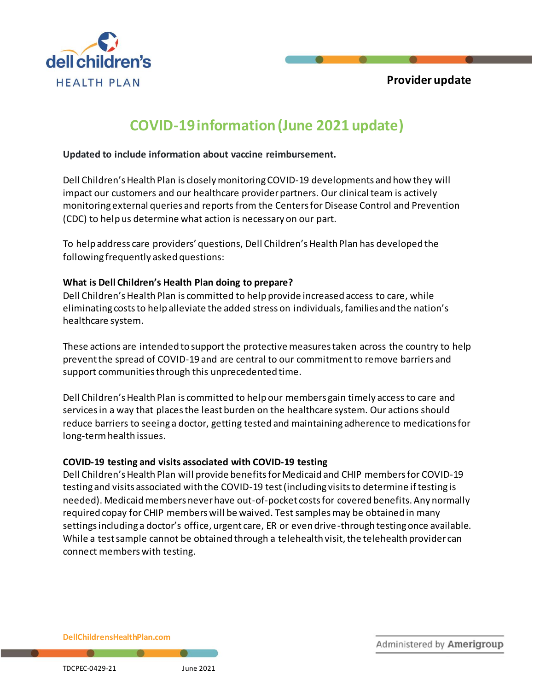

# **COVID-19 information (June 2021 update)**

#### **Updated to include information about vaccine reimbursement.**

Dell Children's Health Plan is closely monitoring COVID-19 developments and how they will impact our customers and our healthcare provider partners. Our clinical team is actively monitoring external queries and reports from the Centers for Disease Control and Prevention (CDC) to help us determine what action is necessary on our part.

To help address care providers' questions, Dell Children's Health Plan has developed the following frequently asked questions:

#### **What is Dell Children's Health Plan doing to prepare?**

Dell Children's Health Plan is committed to help provide increased access to care, while eliminating costs to help alleviate the added stress on individuals, families and the nation's healthcare system.

These actions are intended to support the protective measures taken across the country to help prevent the spread of COVID-19 and are central to our commitment to remove barriers and support communities through this unprecedented time.

Dell Children's Health Plan is committed to help our members gain timely access to care and services in a way that places the least burden on the healthcare system. Our actions should reduce barriers to seeing a doctor, getting tested and maintaining adherence to medications for long-term health issues.

#### **COVID-19 testing and visits associated with COVID-19 testing**

Dell Children's Health Plan will provide benefits for Medicaid and CHIP members for COVID-19 testing and visits associated with the COVID-19 test (including visits to determine if testing is needed). Medicaid members never have out-of-pocket costs for covered benefits. Any normally required copay for CHIP members will be waived. Test samples may be obtained in many settings including a doctor's office, urgent care, ER or even drive-through testing once available. While a test sample cannot be obtained through a telehealth visit, the telehealth provider can connect members with testing.

**DellChildrensHealthPlan.com**

Administered by Amerigroup

 $\blacksquare$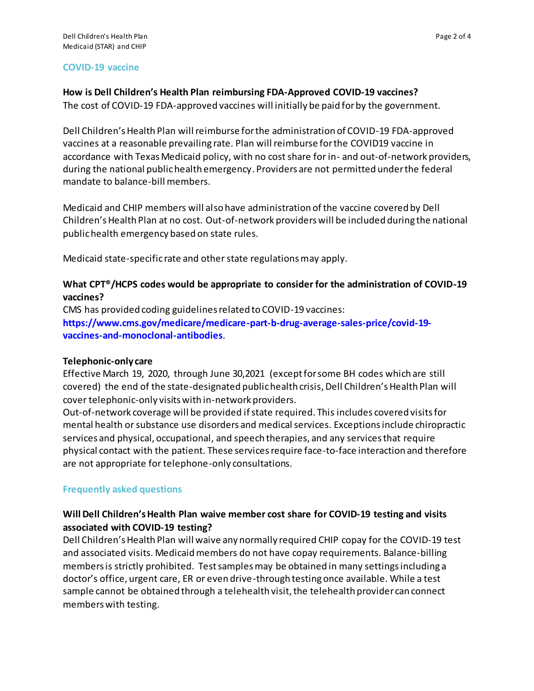#### **COVID-19 vaccine**

#### **How is Dell Children's Health Plan reimbursing FDA-Approved COVID-19 vaccines?**

The cost of COVID-19 FDA-approved vaccines will initially be paid for by the government.

Dell Children's Health Plan will reimburse for the administration of COVID-19 FDA-approved vaccines at a reasonable prevailing rate. Plan will reimburse for the COVID19 vaccine in accordance with Texas Medicaid policy, with no cost share for in- and out-of-network providers, during the national public health emergency. Providers are not permitted under the federal mandate to balance-bill members.

Medicaid and CHIP members will also have administration of the vaccine covered by Dell Children's Health Plan at no cost. Out-of-network providers will be included during the national public health emergency based on state rules.

Medicaid state-specific rate and other state regulations may apply.

#### **What CPT®/HCPS codes would be appropriate to consider for the administration of COVID-19 vaccines?**

CMS has provided coding guidelines related to COVID-19 vaccines: **[https://www.cms.gov/medicare/medicare-part-b-drug-average-sales-price/covid-19](https://www.cms.gov/medicare/medicare-part-b-drug-average-sales-price/covid-19-vaccines-and-monoclonal-antibodies) [vaccines-and-monoclonal-antibodies](https://www.cms.gov/medicare/medicare-part-b-drug-average-sales-price/covid-19-vaccines-and-monoclonal-antibodies)**.

#### **Telephonic-only care**

Effective March 19, 2020, through June 30,2021 (except for some BH codes which are still covered) the end of the state-designated public health crisis, Dell Children's Health Plan will cover telephonic-only visits with in-network providers.

Out-of-network coverage will be provided ifstate required. This includes covered visits for mental health or substance use disorders and medical services. Exceptions include chiropractic services and physical, occupational, and speech therapies, and any services that require physical contact with the patient. These services require face-to-face interaction and therefore are not appropriate for telephone-only consultations.

#### **Frequently asked questions**

# **Will Dell Children's Health Plan waive member cost share for COVID-19 testing and visits associated with COVID-19 testing?**

Dell Children's Health Plan will waive any normally required CHIP copay for the COVID-19 test and associated visits. Medicaid members do not have copay requirements. Balance-billing members is strictly prohibited. Test samples may be obtained in many settings including a doctor's office, urgent care, ER or even drive-through testing once available. While a test sample cannot be obtained through a telehealth visit, the telehealth provider can connect members with testing.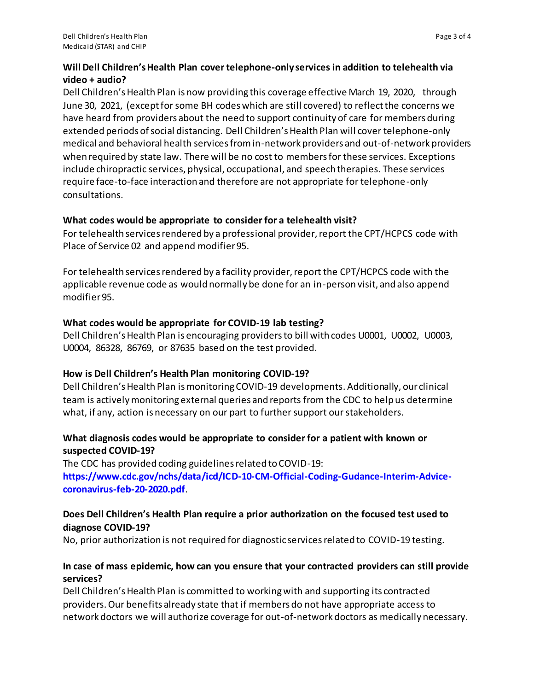## **Will Dell Children's Health Plan cover telephone-only services in addition to telehealth via video + audio?**

Dell Children's Health Plan is now providing this coverage effective March 19, 2020, through June 30, 2021, (except for some BH codes which are still covered) to reflect the concerns we have heard from providers about the need to support continuity of care for members during extended periods of social distancing. Dell Children's Health Plan will cover telephone-only medical and behavioral health services from in-network providers and out-of-network providers when required by state law. There will be no cost to members for these services. Exceptions include chiropractic services, physical, occupational, and speech therapies. These services require face-to-face interaction and therefore are not appropriate for telephone-only consultations.

#### **What codes would be appropriate to consider for a telehealth visit?**

For telehealth services rendered by a professional provider, report the CPT/HCPCS code with Place of Service 02 and append modifier 95.

For telehealth services rendered by a facility provider, report the CPT/HCPCS code with the applicable revenue code as would normally be done for an in-person visit, and also append modifier 95.

# **What codes would be appropriate for COVID-19 lab testing?**

Dell Children's Health Plan is encouraging providers to bill with codes U0001, U0002, U0003, U0004, 86328, 86769, or 87635 based on the test provided.

# **How is Dell Children's Health Plan monitoring COVID-19?**

Dell Children's Health Plan is monitoring COVID-19 developments. Additionally, our clinical team is actively monitoring external queries and reports from the CDC to help us determine what, if any, action is necessary on our part to further support our stakeholders.

# **What diagnosis codes would be appropriate to consider for a patient with known or suspected COVID-19?**

The CDC has provided coding guidelines related to COVID-19:

**[https://www.cdc.gov/nchs/data/icd/ICD-10-CM-Official-Coding-Gudance-Interim-Advice](https://www.cdc.gov/nchs/data/icd/ICD-10-CM-Official-Coding-Gudance-Interim-Advice-coronavirus-feb-20-2020.pdf)[coronavirus-feb-20-2020.pdf](https://www.cdc.gov/nchs/data/icd/ICD-10-CM-Official-Coding-Gudance-Interim-Advice-coronavirus-feb-20-2020.pdf)**.

# **Does Dell Children's Health Plan require a prior authorization on the focused test used to diagnose COVID-19?**

No, prior authorization is not required for diagnostic services related to COVID-19 testing.

# **In case of mass epidemic, how can you ensure that your contracted providers can still provide services?**

Dell Children's Health Plan is committed to working with and supporting its contracted providers. Our benefits already state that if members do not have appropriate access to network doctors we will authorize coverage for out-of-network doctors as medically necessary.